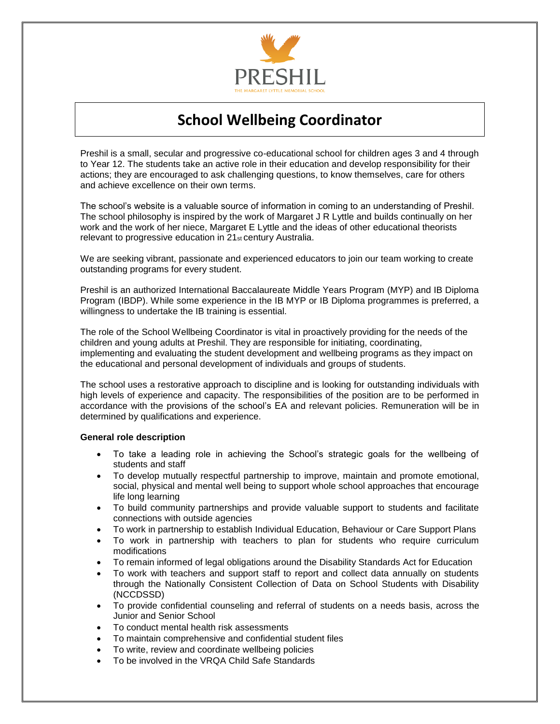

# **School Wellbeing Coordinator**

Preshil is a small, secular and progressive co-educational school for children ages 3 and 4 through to Year 12. The students take an active role in their education and develop responsibility for their actions; they are encouraged to ask challenging questions, to know themselves, care for others and achieve excellence on their own terms.

The school's website is a valuable source of information in coming to an understanding of Preshil. The school philosophy is inspired by the work of Margaret J R Lyttle and builds continually on her work and the work of her niece, Margaret E Lyttle and the ideas of other educational theorists relevant to progressive education in 21<sub>st</sub> century Australia.

We are seeking vibrant, passionate and experienced educators to join our team working to create outstanding programs for every student.

Preshil is an authorized International Baccalaureate Middle Years Program (MYP) and IB Diploma Program (IBDP). While some experience in the IB MYP or IB Diploma programmes is preferred, a willingness to undertake the IB training is essential.

The role of the School Wellbeing Coordinator is vital in proactively providing for the needs of the children and young adults at Preshil. They are responsible for initiating, coordinating, implementing and evaluating the student development and wellbeing programs as they impact on the educational and personal development of individuals and groups of students.

The school uses a restorative approach to discipline and is looking for outstanding individuals with high levels of experience and capacity. The responsibilities of the position are to be performed in accordance with the provisions of the school's EA and relevant policies. Remuneration will be in determined by qualifications and experience.

#### **General role description**

- To take a leading role in achieving the School's strategic goals for the wellbeing of students and staff
- To develop mutually respectful partnership to improve, maintain and promote emotional, social, physical and mental well being to support whole school approaches that encourage life long learning
- To build community partnerships and provide valuable support to students and facilitate connections with outside agencies
- To work in partnership to establish Individual Education, Behaviour or Care Support Plans
- To work in partnership with teachers to plan for students who require curriculum modifications
- To remain informed of legal obligations around the Disability Standards Act for Education
- To work with teachers and support staff to report and collect data annually on students through the Nationally Consistent Collection of Data on School Students with Disability (NCCDSSD)
- To provide confidential counseling and referral of students on a needs basis, across the Junior and Senior School
- To conduct mental health risk assessments
- To maintain comprehensive and confidential student files
- To write, review and coordinate wellbeing policies
- To be involved in the VRQA Child Safe Standards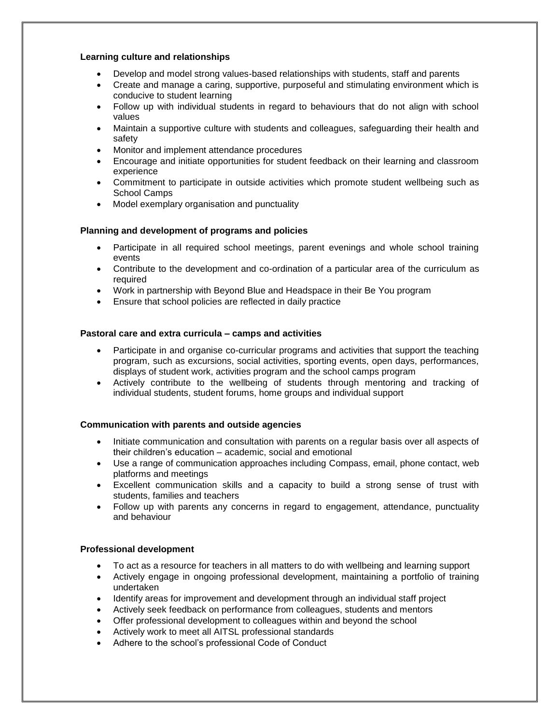#### **Learning culture and relationships**

- Develop and model strong values-based relationships with students, staff and parents
- Create and manage a caring, supportive, purposeful and stimulating environment which is conducive to student learning
- Follow up with individual students in regard to behaviours that do not align with school values
- Maintain a supportive culture with students and colleagues, safeguarding their health and safety
- Monitor and implement attendance procedures
- Encourage and initiate opportunities for student feedback on their learning and classroom experience
- Commitment to participate in outside activities which promote student wellbeing such as School Camps
- Model exemplary organisation and punctuality

## **Planning and development of programs and policies**

- Participate in all required school meetings, parent evenings and whole school training events
- Contribute to the development and co-ordination of a particular area of the curriculum as required
- Work in partnership with Beyond Blue and Headspace in their Be You program
- Ensure that school policies are reflected in daily practice

#### **Pastoral care and extra curricula – camps and activities**

- Participate in and organise co-curricular programs and activities that support the teaching program, such as excursions, social activities, sporting events, open days, performances, displays of student work, activities program and the school camps program
- Actively contribute to the wellbeing of students through mentoring and tracking of individual students, student forums, home groups and individual support

#### **Communication with parents and outside agencies**

- Initiate communication and consultation with parents on a regular basis over all aspects of their children's education – academic, social and emotional
- Use a range of communication approaches including Compass, email, phone contact, web platforms and meetings
- Excellent communication skills and a capacity to build a strong sense of trust with students, families and teachers
- Follow up with parents any concerns in regard to engagement, attendance, punctuality and behaviour

#### **Professional development**

- To act as a resource for teachers in all matters to do with wellbeing and learning support
- Actively engage in ongoing professional development, maintaining a portfolio of training undertaken
- Identify areas for improvement and development through an individual staff project
- Actively seek feedback on performance from colleagues, students and mentors
- Offer professional development to colleagues within and beyond the school
- Actively work to meet all AITSL professional standards
- Adhere to the school's professional Code of Conduct